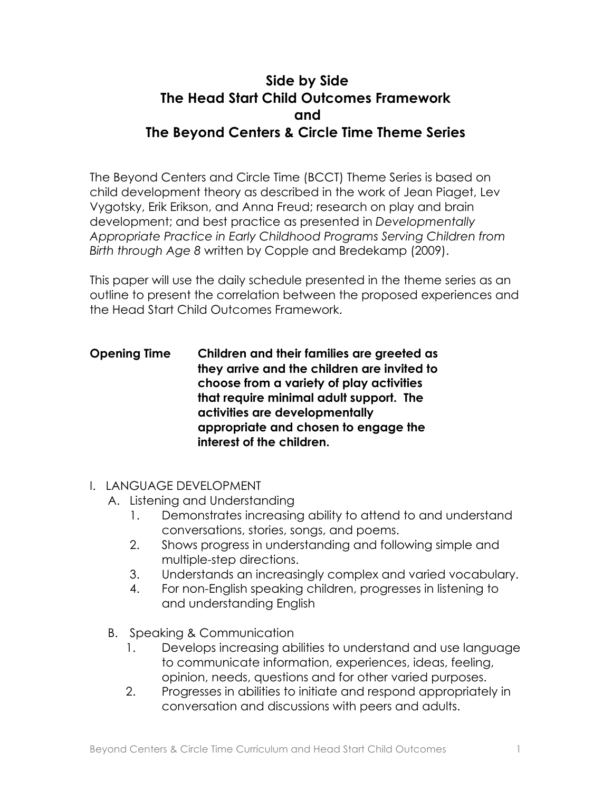# **Side by Side The Head Start Child Outcomes Framework and The Beyond Centers & Circle Time Theme Series**

The Beyond Centers and Circle Time (BCCT) Theme Series is based on child development theory as described in the work of Jean Piaget, Lev Vygotsky, Erik Erikson, and Anna Freud; research on play and brain development; and best practice as presented in *Developmentally Appropriate Practice in Early Childhood Programs Serving Children from Birth through Age 8* written by Copple and Bredekamp (2009).

This paper will use the daily schedule presented in the theme series as an outline to present the correlation between the proposed experiences and the Head Start Child Outcomes Framework.

#### **Opening Time Children and their families are greeted as they arrive and the children are invited to choose from a variety of play activities that require minimal adult support. The activities are developmentally appropriate and chosen to engage the interest of the children.**

- I. LANGUAGE DEVELOPMENT
	- A. Listening and Understanding
		- 1. Demonstrates increasing ability to attend to and understand conversations, stories, songs, and poems.
		- 2. Shows progress in understanding and following simple and multiple-step directions.
		- 3. Understands an increasingly complex and varied vocabulary.
		- 4. For non-English speaking children, progresses in listening to and understanding English
	- B. Speaking & Communication
		- 1. Develops increasing abilities to understand and use language to communicate information, experiences, ideas, feeling, opinion, needs, questions and for other varied purposes.
		- 2. Progresses in abilities to initiate and respond appropriately in conversation and discussions with peers and adults.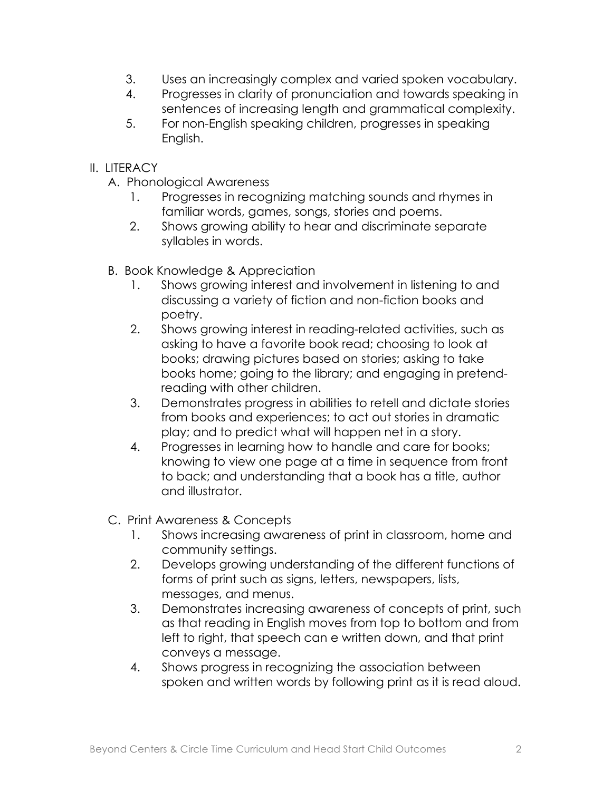- 3. Uses an increasingly complex and varied spoken vocabulary.
- 4. Progresses in clarity of pronunciation and towards speaking in sentences of increasing length and grammatical complexity.
- 5. For non-English speaking children, progresses in speaking English.
- II. LITERACY
	- A. Phonological Awareness
		- 1. Progresses in recognizing matching sounds and rhymes in familiar words, games, songs, stories and poems.
		- 2. Shows growing ability to hear and discriminate separate syllables in words.
	- B. Book Knowledge & Appreciation
		- 1. Shows growing interest and involvement in listening to and discussing a variety of fiction and non-fiction books and poetry.
		- 2. Shows growing interest in reading-related activities, such as asking to have a favorite book read; choosing to look at books; drawing pictures based on stories; asking to take books home; going to the library; and engaging in pretendreading with other children.
		- 3. Demonstrates progress in abilities to retell and dictate stories from books and experiences; to act out stories in dramatic play; and to predict what will happen net in a story.
		- 4. Progresses in learning how to handle and care for books; knowing to view one page at a time in sequence from front to back; and understanding that a book has a title, author and illustrator.
	- C. Print Awareness & Concepts
		- 1. Shows increasing awareness of print in classroom, home and community settings.
		- 2. Develops growing understanding of the different functions of forms of print such as signs, letters, newspapers, lists, messages, and menus.
		- 3. Demonstrates increasing awareness of concepts of print, such as that reading in English moves from top to bottom and from left to right, that speech can e written down, and that print conveys a message.
		- 4. Shows progress in recognizing the association between spoken and written words by following print as it is read aloud.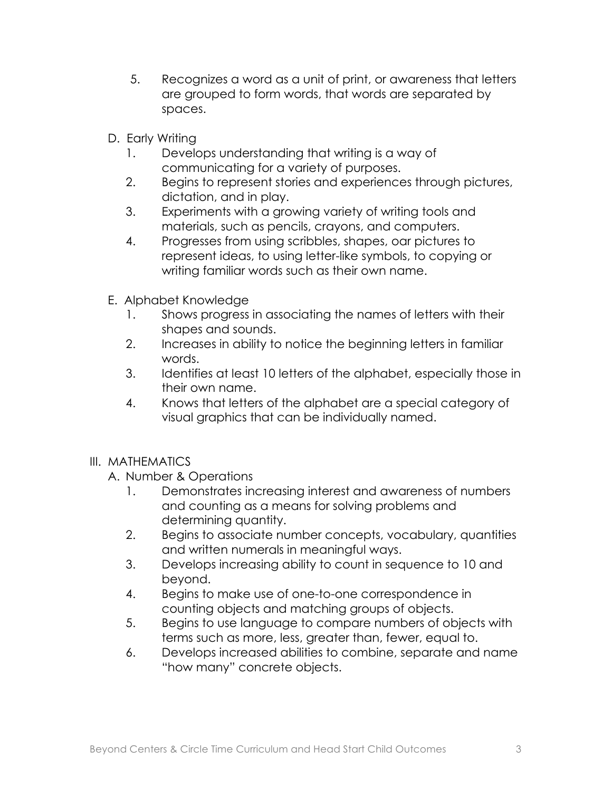- 5. Recognizes a word as a unit of print, or awareness that letters are grouped to form words, that words are separated by spaces.
- D. Early Writing
	- 1. Develops understanding that writing is a way of communicating for a variety of purposes.
	- 2. Begins to represent stories and experiences through pictures, dictation, and in play.
	- 3. Experiments with a growing variety of writing tools and materials, such as pencils, crayons, and computers.
	- 4. Progresses from using scribbles, shapes, oar pictures to represent ideas, to using letter-like symbols, to copying or writing familiar words such as their own name.
- E. Alphabet Knowledge
	- 1. Shows progress in associating the names of letters with their shapes and sounds.
	- 2. Increases in ability to notice the beginning letters in familiar words.
	- 3. Identifies at least 10 letters of the alphabet, especially those in their own name.
	- 4. Knows that letters of the alphabet are a special category of visual graphics that can be individually named.

### III. MATHEMATICS

### A. Number & Operations

- 1. Demonstrates increasing interest and awareness of numbers and counting as a means for solving problems and determining quantity.
- 2. Begins to associate number concepts, vocabulary, quantities and written numerals in meaningful ways.
- 3. Develops increasing ability to count in sequence to 10 and beyond.
- 4. Begins to make use of one-to-one correspondence in counting objects and matching groups of objects.
- 5. Begins to use language to compare numbers of objects with terms such as more, less, greater than, fewer, equal to.
- 6. Develops increased abilities to combine, separate and name "how many" concrete objects.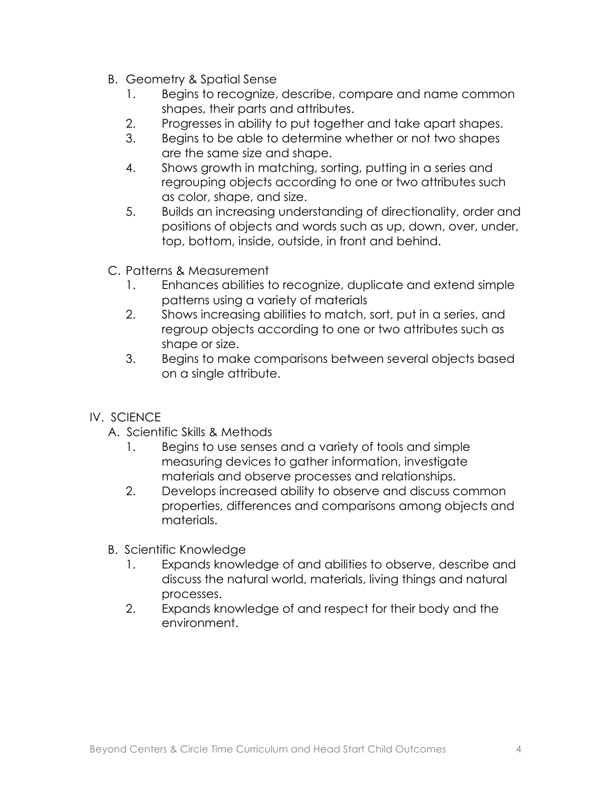- B. Geometry & Spatial Sense
	- 1. Begins to recognize, describe, compare and name common shapes, their parts and attributes.
	- 2. Progresses in ability to put together and take apart shapes.
	- 3. Begins to be able to determine whether or not two shapes are the same size and shape.
	- 4. Shows growth in matching, sorting, putting in a series and regrouping objects according to one or two attributes such as color, shape, and size.
	- 5. Builds an increasing understanding of directionality, order and positions of objects and words such as up, down, over, under, top, bottom, inside, outside, in front and behind.
- C. Patterns & Measurement
	- 1. Enhances abilities to recognize, duplicate and extend simple patterns using a variety of materials
	- 2. Shows increasing abilities to match, sort, put in a series, and regroup objects according to one or two attributes such as shape or size.
	- 3. Begins to make comparisons between several objects based on a single attribute.
- IV. SCIENCE
	- A. Scientific Skills & Methods
		- 1. Begins to use senses and a variety of tools and simple measuring devices to gather information, investigate materials and observe processes and relationships.
		- 2. Develops increased ability to observe and discuss common properties, differences and comparisons among objects and materials.
	- B. Scientific Knowledge
		- 1. Expands knowledge of and abilities to observe, describe and discuss the natural world, materials, living things and natural processes.
		- 2. Expands knowledge of and respect for their body and the environment.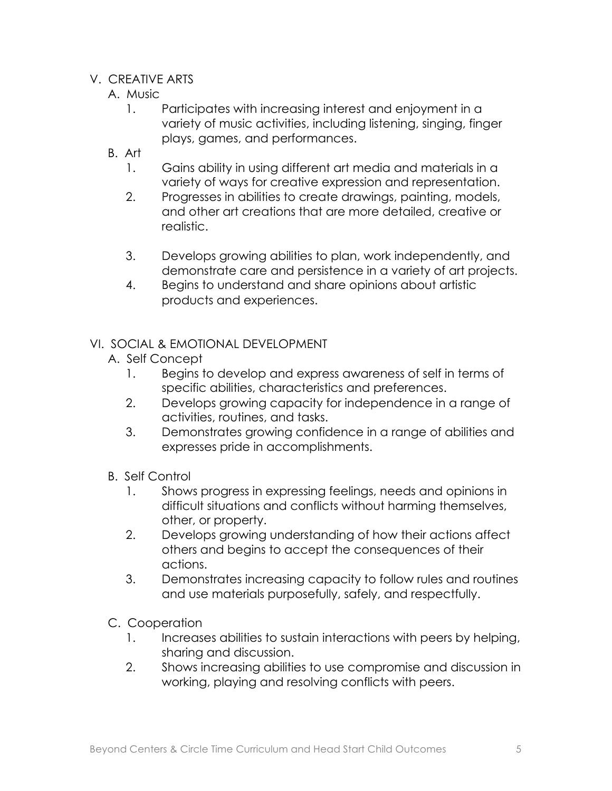#### V. CREATIVE ARTS

- A. Music
	- 1. Participates with increasing interest and enjoyment in a variety of music activities, including listening, singing, finger plays, games, and performances.
- B. Art
	- 1. Gains ability in using different art media and materials in a variety of ways for creative expression and representation.
	- 2. Progresses in abilities to create drawings, painting, models, and other art creations that are more detailed, creative or realistic.
	- 3. Develops growing abilities to plan, work independently, and demonstrate care and persistence in a variety of art projects.
	- 4. Begins to understand and share opinions about artistic products and experiences.

- A. Self Concept
	- 1. Begins to develop and express awareness of self in terms of specific abilities, characteristics and preferences.
	- 2. Develops growing capacity for independence in a range of activities, routines, and tasks.
	- 3. Demonstrates growing confidence in a range of abilities and expresses pride in accomplishments.
- B. Self Control
	- 1. Shows progress in expressing feelings, needs and opinions in difficult situations and conflicts without harming themselves, other, or property.
	- 2. Develops growing understanding of how their actions affect others and begins to accept the consequences of their actions.
	- 3. Demonstrates increasing capacity to follow rules and routines and use materials purposefully, safely, and respectfully.
- C. Cooperation
	- 1. Increases abilities to sustain interactions with peers by helping, sharing and discussion.
	- 2. Shows increasing abilities to use compromise and discussion in working, playing and resolving conflicts with peers.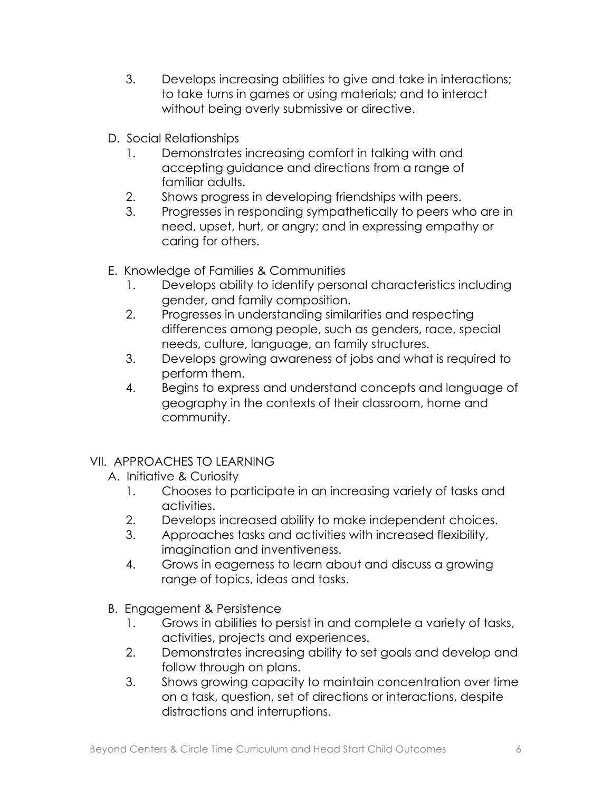- 3. Develops increasing abilities to give and take in interactions; to take turns in games or using materials; and to interact without being overly submissive or directive.
- D. Social Relationships
	- 1. Demonstrates increasing comfort in talking with and accepting guidance and directions from a range of familiar adults.
	- 2. Shows progress in developing friendships with peers.
	- 3. Progresses in responding sympathetically to peers who are in need, upset, hurt, or angry; and in expressing empathy or caring for others.
- E. Knowledge of Families & Communities
	- 1. Develops ability to identify personal characteristics including gender, and family composition.
	- 2. Progresses in understanding similarities and respecting differences among people, such as genders, race, special needs, culture, language, an family structures.
	- 3. Develops growing awareness of jobs and what is required to perform them.
	- 4. Begins to express and understand concepts and language of geography in the contexts of their classroom, home and community.

## VII. APPROACHES TO LEARNING

- A. Initiative & Curiosity
	- 1. Chooses to participate in an increasing variety of tasks and activities.
	- 2. Develops increased ability to make independent choices.
	- 3. Approaches tasks and activities with increased flexibility, imagination and inventiveness.
	- 4. Grows in eagerness to learn about and discuss a growing range of topics, ideas and tasks.
- B. Engagement & Persistence
	- 1. Grows in abilities to persist in and complete a variety of tasks, activities, projects and experiences.
	- 2. Demonstrates increasing ability to set goals and develop and follow through on plans.
	- 3. Shows growing capacity to maintain concentration over time on a task, question, set of directions or interactions, despite distractions and interruptions.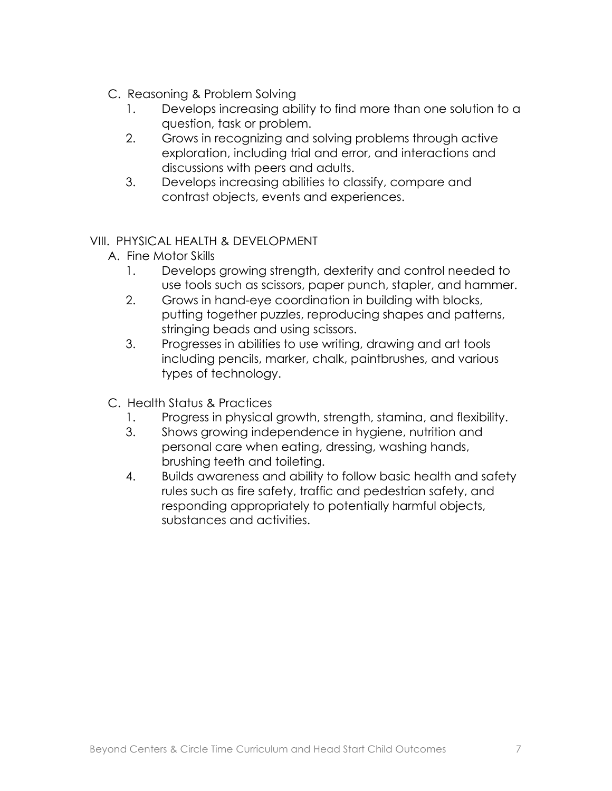- C. Reasoning & Problem Solving
	- 1. Develops increasing ability to find more than one solution to a question, task or problem.
	- 2. Grows in recognizing and solving problems through active exploration, including trial and error, and interactions and discussions with peers and adults.
	- 3. Develops increasing abilities to classify, compare and contrast objects, events and experiences.

### VIII. PHYSICAL HEALTH & DEVELOPMENT

- A. Fine Motor Skills
	- 1. Develops growing strength, dexterity and control needed to use tools such as scissors, paper punch, stapler, and hammer.
	- 2. Grows in hand-eye coordination in building with blocks, putting together puzzles, reproducing shapes and patterns, stringing beads and using scissors.
	- 3. Progresses in abilities to use writing, drawing and art tools including pencils, marker, chalk, paintbrushes, and various types of technology.
- C. Health Status & Practices
	- 1. Progress in physical growth, strength, stamina, and flexibility.
	- 3. Shows growing independence in hygiene, nutrition and personal care when eating, dressing, washing hands, brushing teeth and toileting.
	- 4. Builds awareness and ability to follow basic health and safety rules such as fire safety, traffic and pedestrian safety, and responding appropriately to potentially harmful objects, substances and activities.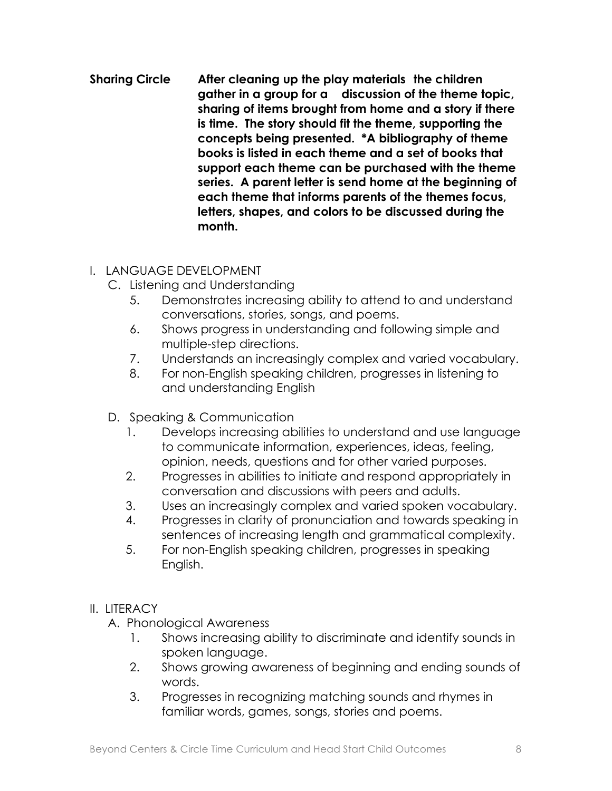**Sharing Circle After cleaning up the play materials the children gather in a group for a discussion of the theme topic, sharing of items brought from home and a story if there is time. The story should fit the theme, supporting the concepts being presented. \*A bibliography of theme books is listed in each theme and a set of books that support each theme can be purchased with the theme series. A parent letter is send home at the beginning of each theme that informs parents of the themes focus, letters, shapes, and colors to be discussed during the month.**

### I. LANGUAGE DEVELOPMENT

- C. Listening and Understanding
	- 5. Demonstrates increasing ability to attend to and understand conversations, stories, songs, and poems.
	- 6. Shows progress in understanding and following simple and multiple-step directions.
	- 7. Understands an increasingly complex and varied vocabulary.
	- 8. For non-English speaking children, progresses in listening to and understanding English
- D. Speaking & Communication
	- 1. Develops increasing abilities to understand and use language to communicate information, experiences, ideas, feeling, opinion, needs, questions and for other varied purposes.
	- 2. Progresses in abilities to initiate and respond appropriately in conversation and discussions with peers and adults.
	- 3. Uses an increasingly complex and varied spoken vocabulary.
	- 4. Progresses in clarity of pronunciation and towards speaking in sentences of increasing length and grammatical complexity.
	- 5. For non-English speaking children, progresses in speaking English.

- A. Phonological Awareness
	- 1. Shows increasing ability to discriminate and identify sounds in spoken language.
	- 2. Shows growing awareness of beginning and ending sounds of words.
	- 3. Progresses in recognizing matching sounds and rhymes in familiar words, games, songs, stories and poems.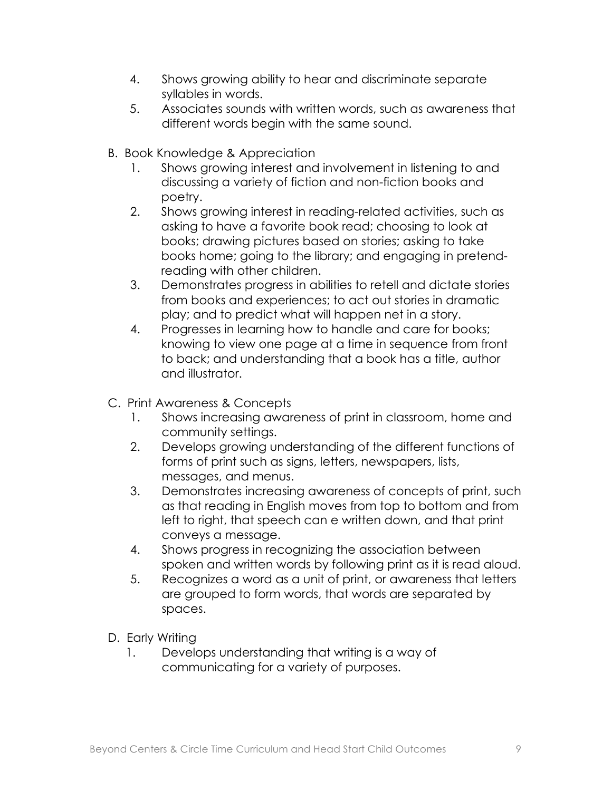- 4. Shows growing ability to hear and discriminate separate syllables in words.
- 5. Associates sounds with written words, such as awareness that different words begin with the same sound.
- B. Book Knowledge & Appreciation
	- 1. Shows growing interest and involvement in listening to and discussing a variety of fiction and non-fiction books and poetry.
	- 2. Shows growing interest in reading-related activities, such as asking to have a favorite book read; choosing to look at books; drawing pictures based on stories; asking to take books home; going to the library; and engaging in pretendreading with other children.
	- 3. Demonstrates progress in abilities to retell and dictate stories from books and experiences; to act out stories in dramatic play; and to predict what will happen net in a story.
	- 4. Progresses in learning how to handle and care for books; knowing to view one page at a time in sequence from front to back; and understanding that a book has a title, author and illustrator.
- C. Print Awareness & Concepts
	- 1. Shows increasing awareness of print in classroom, home and community settings.
	- 2. Develops growing understanding of the different functions of forms of print such as signs, letters, newspapers, lists, messages, and menus.
	- 3. Demonstrates increasing awareness of concepts of print, such as that reading in English moves from top to bottom and from left to right, that speech can e written down, and that print conveys a message.
	- 4. Shows progress in recognizing the association between spoken and written words by following print as it is read aloud.
	- 5. Recognizes a word as a unit of print, or awareness that letters are grouped to form words, that words are separated by spaces.
- D. Early Writing
	- 1. Develops understanding that writing is a way of communicating for a variety of purposes.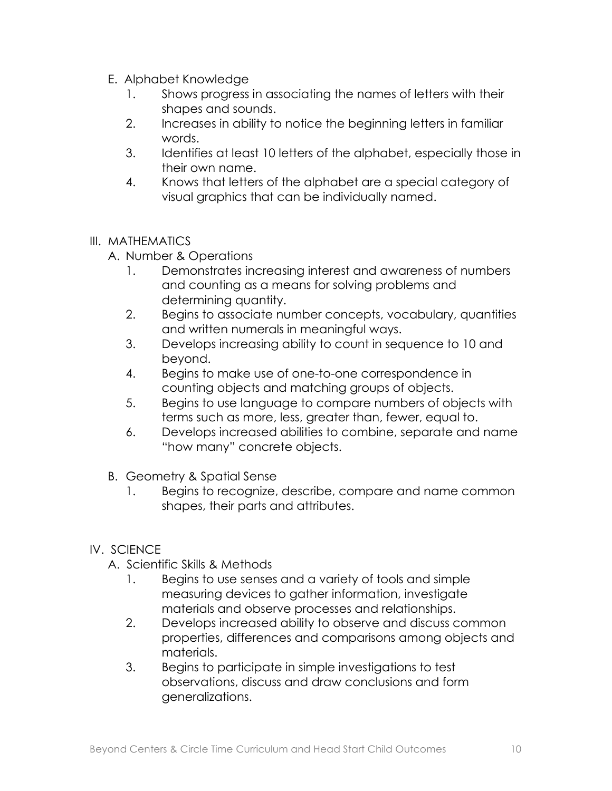- E. Alphabet Knowledge
	- 1. Shows progress in associating the names of letters with their shapes and sounds.
	- 2. Increases in ability to notice the beginning letters in familiar words.
	- 3. Identifies at least 10 letters of the alphabet, especially those in their own name.
	- 4. Knows that letters of the alphabet are a special category of visual graphics that can be individually named.

#### III. MATHEMATICS

- A. Number & Operations
	- 1. Demonstrates increasing interest and awareness of numbers and counting as a means for solving problems and determining quantity.
	- 2. Begins to associate number concepts, vocabulary, quantities and written numerals in meaningful ways.
	- 3. Develops increasing ability to count in sequence to 10 and beyond.
	- 4. Begins to make use of one-to-one correspondence in counting objects and matching groups of objects.
	- 5. Begins to use language to compare numbers of objects with terms such as more, less, greater than, fewer, equal to.
	- 6. Develops increased abilities to combine, separate and name "how many" concrete objects.
- B. Geometry & Spatial Sense
	- 1. Begins to recognize, describe, compare and name common shapes, their parts and attributes.

### IV. SCIENCE

- A. Scientific Skills & Methods
	- 1. Begins to use senses and a variety of tools and simple measuring devices to gather information, investigate materials and observe processes and relationships.
	- 2. Develops increased ability to observe and discuss common properties, differences and comparisons among objects and materials.
	- 3. Begins to participate in simple investigations to test observations, discuss and draw conclusions and form generalizations.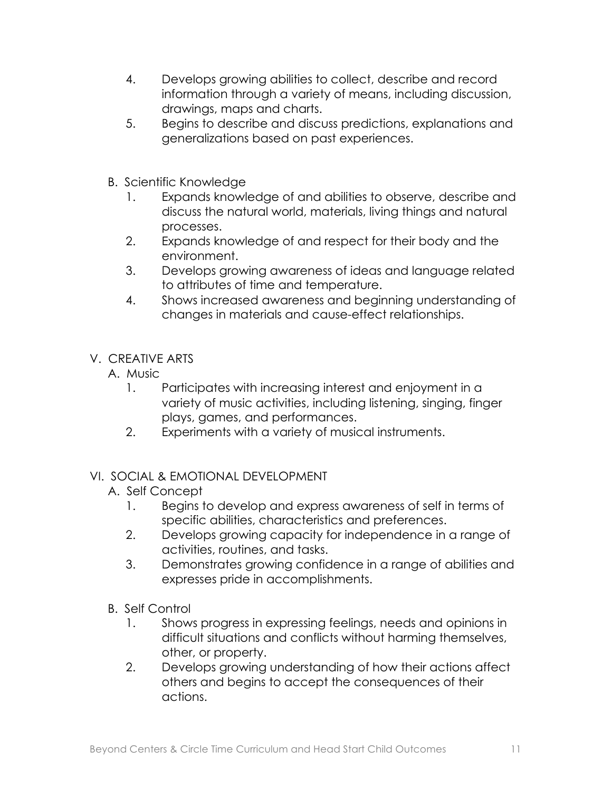- 4. Develops growing abilities to collect, describe and record information through a variety of means, including discussion, drawings, maps and charts.
- 5. Begins to describe and discuss predictions, explanations and generalizations based on past experiences.
- B. Scientific Knowledge
	- 1. Expands knowledge of and abilities to observe, describe and discuss the natural world, materials, living things and natural processes.
	- 2. Expands knowledge of and respect for their body and the environment.
	- 3. Develops growing awareness of ideas and language related to attributes of time and temperature.
	- 4. Shows increased awareness and beginning understanding of changes in materials and cause-effect relationships.
- V. CREATIVE ARTS
	- A. Music
		- 1. Participates with increasing interest and enjoyment in a variety of music activities, including listening, singing, finger plays, games, and performances.
		- 2. Experiments with a variety of musical instruments.

- A. Self Concept
	- 1. Begins to develop and express awareness of self in terms of specific abilities, characteristics and preferences.
	- 2. Develops growing capacity for independence in a range of activities, routines, and tasks.
	- 3. Demonstrates growing confidence in a range of abilities and expresses pride in accomplishments.
- B. Self Control
	- 1. Shows progress in expressing feelings, needs and opinions in difficult situations and conflicts without harming themselves, other, or property.
	- 2. Develops growing understanding of how their actions affect others and begins to accept the consequences of their actions.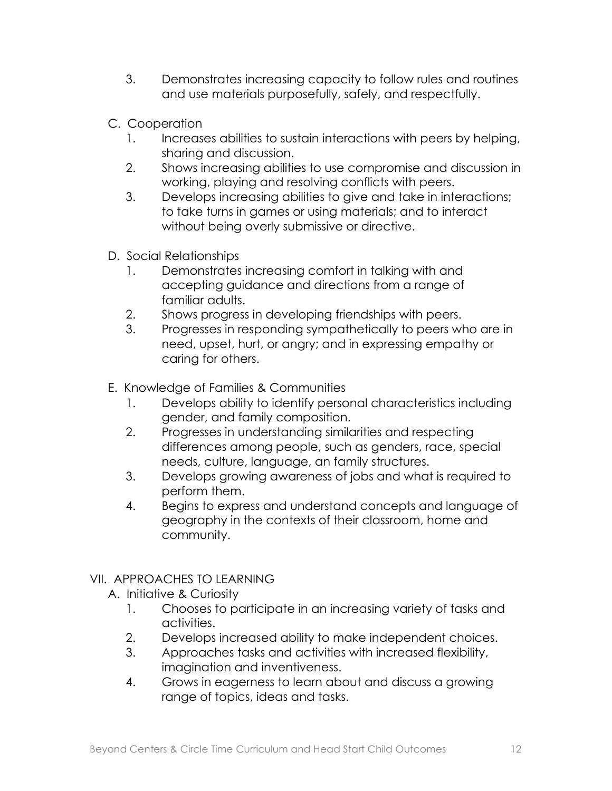- 3. Demonstrates increasing capacity to follow rules and routines and use materials purposefully, safely, and respectfully.
- C. Cooperation
	- 1. Increases abilities to sustain interactions with peers by helping, sharing and discussion.
	- 2. Shows increasing abilities to use compromise and discussion in working, playing and resolving conflicts with peers.
	- 3. Develops increasing abilities to give and take in interactions; to take turns in games or using materials; and to interact without being overly submissive or directive.
- D. Social Relationships
	- 1. Demonstrates increasing comfort in talking with and accepting guidance and directions from a range of familiar adults.
	- 2. Shows progress in developing friendships with peers.
	- 3. Progresses in responding sympathetically to peers who are in need, upset, hurt, or angry; and in expressing empathy or caring for others.
- E. Knowledge of Families & Communities
	- 1. Develops ability to identify personal characteristics including gender, and family composition.
	- 2. Progresses in understanding similarities and respecting differences among people, such as genders, race, special needs, culture, language, an family structures.
	- 3. Develops growing awareness of jobs and what is required to perform them.
	- 4. Begins to express and understand concepts and language of geography in the contexts of their classroom, home and community.

## VII. APPROACHES TO LEARNING

- A. Initiative & Curiosity
	- 1. Chooses to participate in an increasing variety of tasks and activities.
	- 2. Develops increased ability to make independent choices.
	- 3. Approaches tasks and activities with increased flexibility, imagination and inventiveness.
	- 4. Grows in eagerness to learn about and discuss a growing range of topics, ideas and tasks.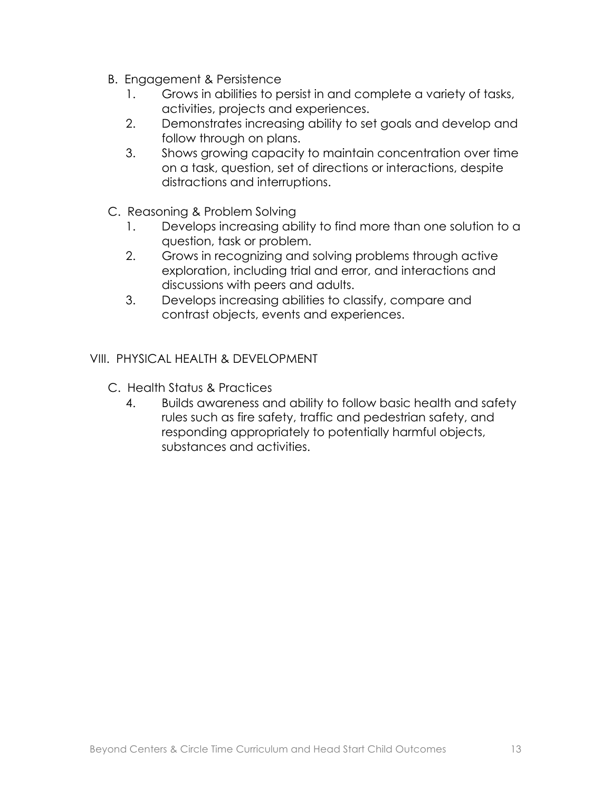- B. Engagement & Persistence
	- 1. Grows in abilities to persist in and complete a variety of tasks, activities, projects and experiences.
	- 2. Demonstrates increasing ability to set goals and develop and follow through on plans.
	- 3. Shows growing capacity to maintain concentration over time on a task, question, set of directions or interactions, despite distractions and interruptions.
- C. Reasoning & Problem Solving
	- 1. Develops increasing ability to find more than one solution to a question, task or problem.
	- 2. Grows in recognizing and solving problems through active exploration, including trial and error, and interactions and discussions with peers and adults.
	- 3. Develops increasing abilities to classify, compare and contrast objects, events and experiences.

### VIII. PHYSICAL HEALTH & DEVELOPMENT

- C. Health Status & Practices
	- 4. Builds awareness and ability to follow basic health and safety rules such as fire safety, traffic and pedestrian safety, and responding appropriately to potentially harmful objects, substances and activities.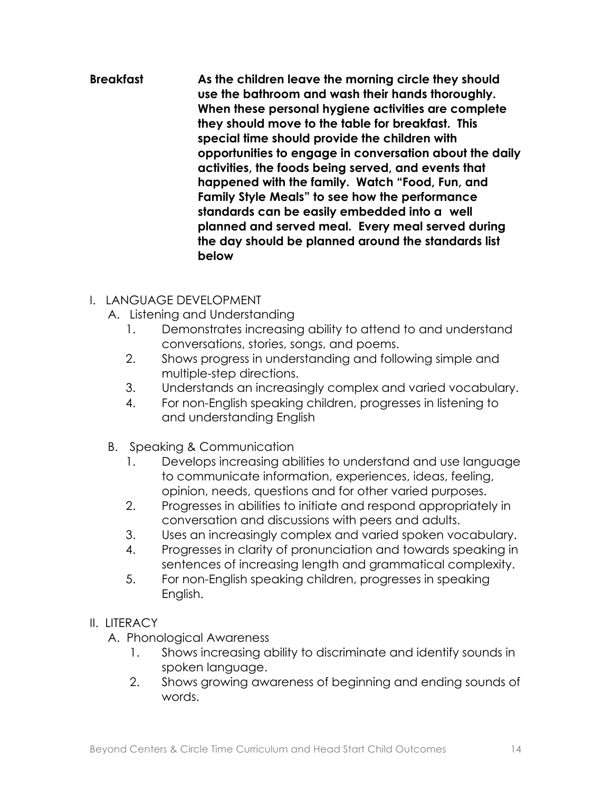#### **Breakfast As the children leave the morning circle they should use the bathroom and wash their hands thoroughly. When these personal hygiene activities are complete they should move to the table for breakfast. This special time should provide the children with opportunities to engage in conversation about the daily activities, the foods being served, and events that happened with the family. Watch "Food, Fun, and Family Style Meals" to see how the performance standards can be easily embedded into a well planned and served meal. Every meal served during the day should be planned around the standards list below**

### I. LANGUAGE DEVELOPMENT

- A. Listening and Understanding
	- 1. Demonstrates increasing ability to attend to and understand conversations, stories, songs, and poems.
	- 2. Shows progress in understanding and following simple and multiple-step directions.
	- 3. Understands an increasingly complex and varied vocabulary.
	- 4. For non-English speaking children, progresses in listening to and understanding English
- B. Speaking & Communication
	- 1. Develops increasing abilities to understand and use language to communicate information, experiences, ideas, feeling, opinion, needs, questions and for other varied purposes.
	- 2. Progresses in abilities to initiate and respond appropriately in conversation and discussions with peers and adults.
	- 3. Uses an increasingly complex and varied spoken vocabulary.
	- 4. Progresses in clarity of pronunciation and towards speaking in sentences of increasing length and grammatical complexity.
	- 5. For non-English speaking children, progresses in speaking English.

- A. Phonological Awareness
	- 1. Shows increasing ability to discriminate and identify sounds in spoken language.
	- 2. Shows growing awareness of beginning and ending sounds of words.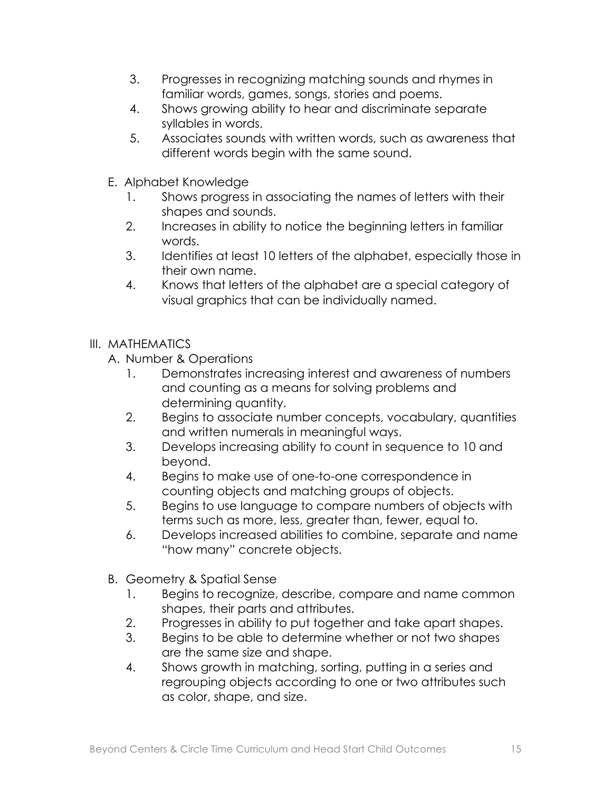- 3. Progresses in recognizing matching sounds and rhymes in familiar words, games, songs, stories and poems.
- 4. Shows growing ability to hear and discriminate separate syllables in words.
- 5. Associates sounds with written words, such as awareness that different words begin with the same sound.
- E. Alphabet Knowledge
	- 1. Shows progress in associating the names of letters with their shapes and sounds.
	- 2. Increases in ability to notice the beginning letters in familiar words.
	- 3. Identifies at least 10 letters of the alphabet, especially those in their own name.
	- 4. Knows that letters of the alphabet are a special category of visual graphics that can be individually named.
- III. MATHEMATICS
	- A. Number & Operations
		- 1. Demonstrates increasing interest and awareness of numbers and counting as a means for solving problems and determining quantity.
		- 2. Begins to associate number concepts, vocabulary, quantities and written numerals in meaningful ways.
		- 3. Develops increasing ability to count in sequence to 10 and beyond.
		- 4. Begins to make use of one-to-one correspondence in counting objects and matching groups of objects.
		- 5. Begins to use language to compare numbers of objects with terms such as more, less, greater than, fewer, equal to.
		- 6. Develops increased abilities to combine, separate and name "how many" concrete objects.
	- B. Geometry & Spatial Sense
		- 1. Begins to recognize, describe, compare and name common shapes, their parts and attributes.
		- 2. Progresses in ability to put together and take apart shapes.
		- 3. Begins to be able to determine whether or not two shapes are the same size and shape.
		- 4. Shows growth in matching, sorting, putting in a series and regrouping objects according to one or two attributes such as color, shape, and size.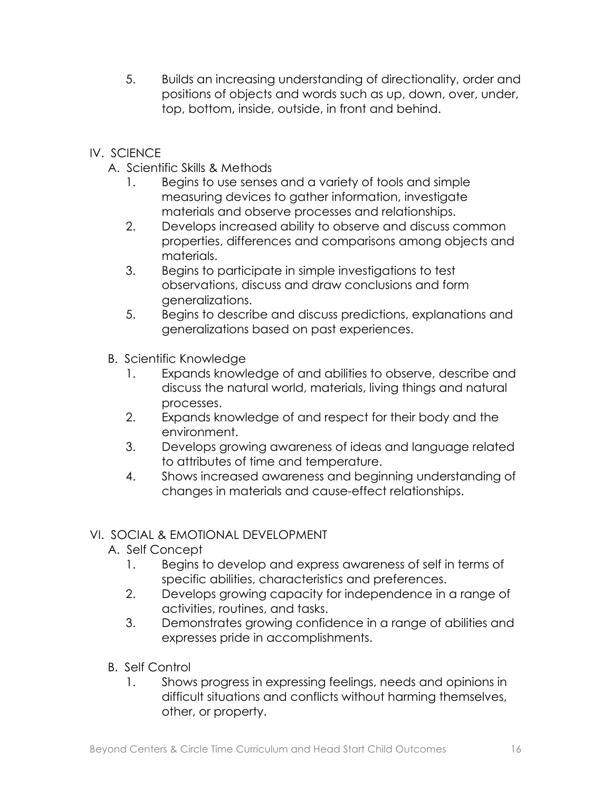- 5. Builds an increasing understanding of directionality, order and positions of objects and words such as up, down, over, under, top, bottom, inside, outside, in front and behind.
- IV. SCIENCE
	- A. Scientific Skills & Methods
		- 1. Begins to use senses and a variety of tools and simple measuring devices to gather information, investigate materials and observe processes and relationships.
		- 2. Develops increased ability to observe and discuss common properties, differences and comparisons among objects and materials.
		- 3. Begins to participate in simple investigations to test observations, discuss and draw conclusions and form generalizations.
		- 5. Begins to describe and discuss predictions, explanations and generalizations based on past experiences.
	- B. Scientific Knowledge
		- 1. Expands knowledge of and abilities to observe, describe and discuss the natural world, materials, living things and natural processes.
		- 2. Expands knowledge of and respect for their body and the environment.
		- 3. Develops growing awareness of ideas and language related to attributes of time and temperature.
		- 4. Shows increased awareness and beginning understanding of changes in materials and cause-effect relationships.

- A. Self Concept
	- 1. Begins to develop and express awareness of self in terms of specific abilities, characteristics and preferences.
	- 2. Develops growing capacity for independence in a range of activities, routines, and tasks.
	- 3. Demonstrates growing confidence in a range of abilities and expresses pride in accomplishments.
- B. Self Control
	- 1. Shows progress in expressing feelings, needs and opinions in difficult situations and conflicts without harming themselves, other, or property.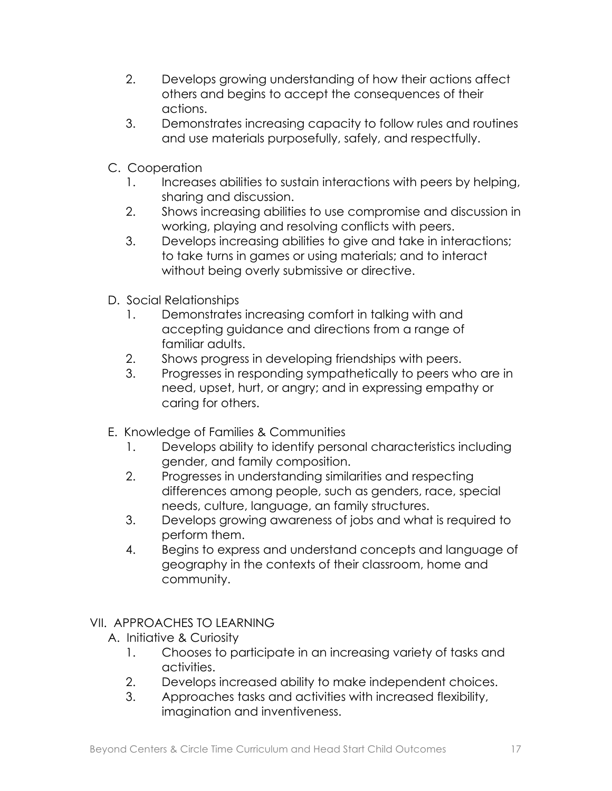- 2. Develops growing understanding of how their actions affect others and begins to accept the consequences of their actions.
- 3. Demonstrates increasing capacity to follow rules and routines and use materials purposefully, safely, and respectfully.
- C. Cooperation
	- 1. Increases abilities to sustain interactions with peers by helping, sharing and discussion.
	- 2. Shows increasing abilities to use compromise and discussion in working, playing and resolving conflicts with peers.
	- 3. Develops increasing abilities to give and take in interactions; to take turns in games or using materials; and to interact without being overly submissive or directive.
- D. Social Relationships
	- 1. Demonstrates increasing comfort in talking with and accepting guidance and directions from a range of familiar adults.
	- 2. Shows progress in developing friendships with peers.
	- 3. Progresses in responding sympathetically to peers who are in need, upset, hurt, or angry; and in expressing empathy or caring for others.
- E. Knowledge of Families & Communities
	- 1. Develops ability to identify personal characteristics including gender, and family composition.
	- 2. Progresses in understanding similarities and respecting differences among people, such as genders, race, special needs, culture, language, an family structures.
	- 3. Develops growing awareness of jobs and what is required to perform them.
	- 4. Begins to express and understand concepts and language of geography in the contexts of their classroom, home and community.
- VII. APPROACHES TO LEARNING
	- A. Initiative & Curiosity
		- 1. Chooses to participate in an increasing variety of tasks and activities.
		- 2. Develops increased ability to make independent choices.
		- 3. Approaches tasks and activities with increased flexibility, imagination and inventiveness.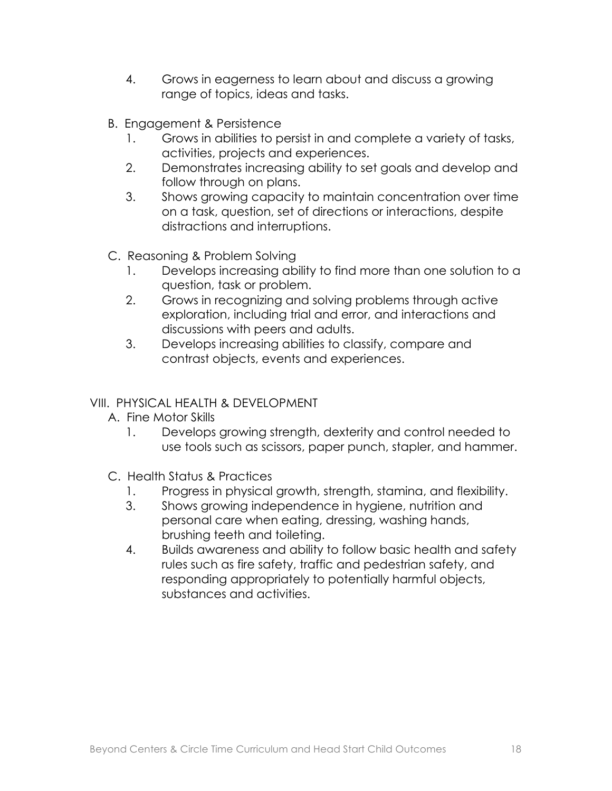- 4. Grows in eagerness to learn about and discuss a growing range of topics, ideas and tasks.
- B. Engagement & Persistence
	- 1. Grows in abilities to persist in and complete a variety of tasks, activities, projects and experiences.
	- 2. Demonstrates increasing ability to set goals and develop and follow through on plans.
	- 3. Shows growing capacity to maintain concentration over time on a task, question, set of directions or interactions, despite distractions and interruptions.
- C. Reasoning & Problem Solving
	- 1. Develops increasing ability to find more than one solution to a question, task or problem.
	- 2. Grows in recognizing and solving problems through active exploration, including trial and error, and interactions and discussions with peers and adults.
	- 3. Develops increasing abilities to classify, compare and contrast objects, events and experiences.

### VIII. PHYSICAL HEALTH & DEVELOPMENT

- A. Fine Motor Skills
	- 1. Develops growing strength, dexterity and control needed to use tools such as scissors, paper punch, stapler, and hammer.
- C. Health Status & Practices
	- 1. Progress in physical growth, strength, stamina, and flexibility.
	- 3. Shows growing independence in hygiene, nutrition and personal care when eating, dressing, washing hands, brushing teeth and toileting.
	- 4. Builds awareness and ability to follow basic health and safety rules such as fire safety, traffic and pedestrian safety, and responding appropriately to potentially harmful objects, substances and activities.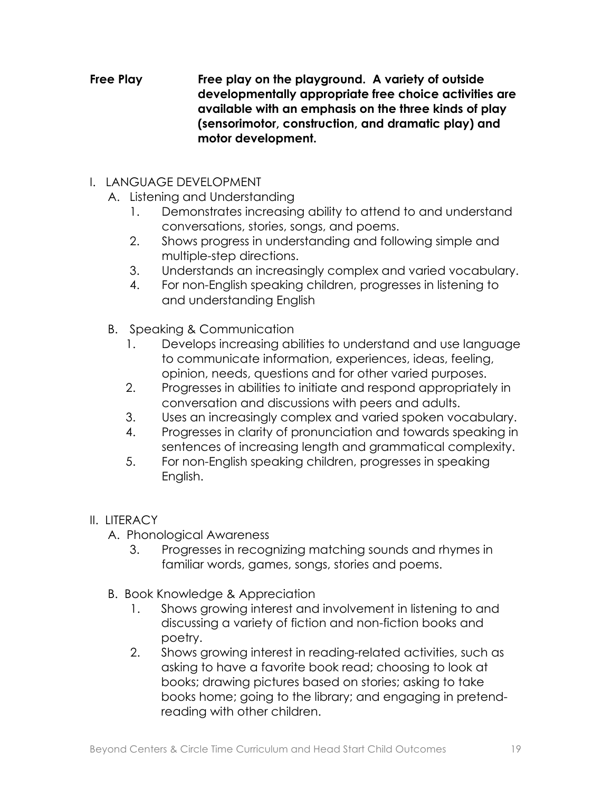#### **Free Play Free play on the playground. A variety of outside developmentally appropriate free choice activities are available with an emphasis on the three kinds of play (sensorimotor, construction, and dramatic play) and motor development.**

- I. LANGUAGE DEVELOPMENT
	- A. Listening and Understanding
		- 1. Demonstrates increasing ability to attend to and understand conversations, stories, songs, and poems.
		- 2. Shows progress in understanding and following simple and multiple-step directions.
		- 3. Understands an increasingly complex and varied vocabulary.
		- 4. For non-English speaking children, progresses in listening to and understanding English
	- B. Speaking & Communication
		- 1. Develops increasing abilities to understand and use language to communicate information, experiences, ideas, feeling, opinion, needs, questions and for other varied purposes.
		- 2. Progresses in abilities to initiate and respond appropriately in conversation and discussions with peers and adults.
		- 3. Uses an increasingly complex and varied spoken vocabulary.
		- 4. Progresses in clarity of pronunciation and towards speaking in sentences of increasing length and grammatical complexity.
		- 5. For non-English speaking children, progresses in speaking English.

- A. Phonological Awareness
	- 3. Progresses in recognizing matching sounds and rhymes in familiar words, games, songs, stories and poems.
- B. Book Knowledge & Appreciation
	- 1. Shows growing interest and involvement in listening to and discussing a variety of fiction and non-fiction books and poetry.
	- 2. Shows growing interest in reading-related activities, such as asking to have a favorite book read; choosing to look at books; drawing pictures based on stories; asking to take books home; going to the library; and engaging in pretendreading with other children.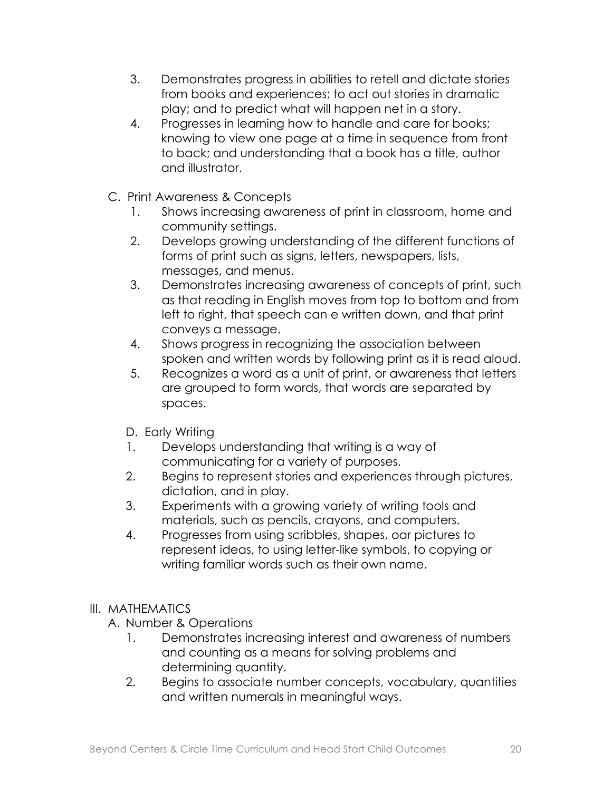- 3. Demonstrates progress in abilities to retell and dictate stories from books and experiences; to act out stories in dramatic play; and to predict what will happen net in a story.
- 4. Progresses in learning how to handle and care for books; knowing to view one page at a time in sequence from front to back; and understanding that a book has a title, author and illustrator.
- C. Print Awareness & Concepts
	- 1. Shows increasing awareness of print in classroom, home and community settings.
	- 2. Develops growing understanding of the different functions of forms of print such as signs, letters, newspapers, lists, messages, and menus.
	- 3. Demonstrates increasing awareness of concepts of print, such as that reading in English moves from top to bottom and from left to right, that speech can e written down, and that print conveys a message.
	- 4. Shows progress in recognizing the association between spoken and written words by following print as it is read aloud.
	- 5. Recognizes a word as a unit of print, or awareness that letters are grouped to form words, that words are separated by spaces.
	- D. Early Writing
	- 1. Develops understanding that writing is a way of communicating for a variety of purposes.
	- 2. Begins to represent stories and experiences through pictures, dictation, and in play.
	- 3. Experiments with a growing variety of writing tools and materials, such as pencils, crayons, and computers.
	- 4. Progresses from using scribbles, shapes, oar pictures to represent ideas, to using letter-like symbols, to copying or writing familiar words such as their own name.
- III. MATHEMATICS
	- A. Number & Operations
		- 1. Demonstrates increasing interest and awareness of numbers and counting as a means for solving problems and determining quantity.
		- 2. Begins to associate number concepts, vocabulary, quantities and written numerals in meaningful ways.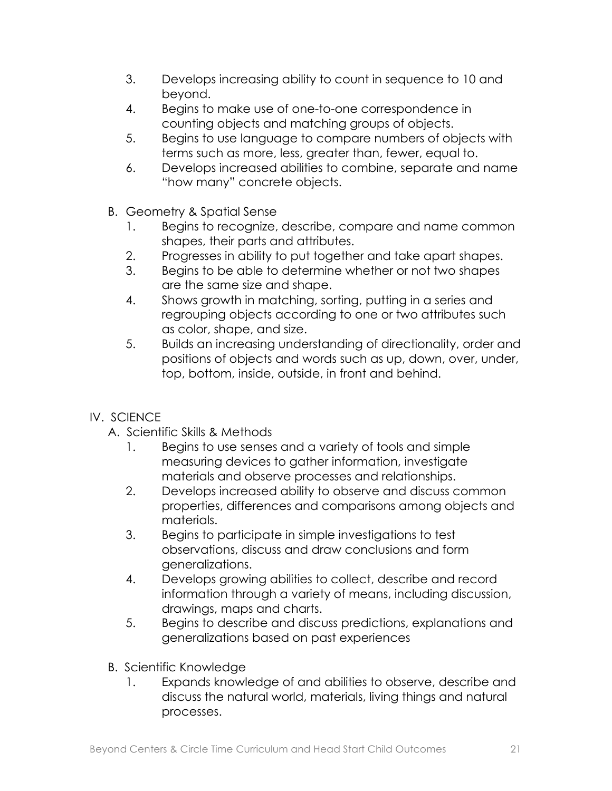- 3. Develops increasing ability to count in sequence to 10 and beyond.
- 4. Begins to make use of one-to-one correspondence in counting objects and matching groups of objects.
- 5. Begins to use language to compare numbers of objects with terms such as more, less, greater than, fewer, equal to.
- 6. Develops increased abilities to combine, separate and name "how many" concrete objects.
- B. Geometry & Spatial Sense
	- 1. Begins to recognize, describe, compare and name common shapes, their parts and attributes.
	- 2. Progresses in ability to put together and take apart shapes.
	- 3. Begins to be able to determine whether or not two shapes are the same size and shape.
	- 4. Shows growth in matching, sorting, putting in a series and regrouping objects according to one or two attributes such as color, shape, and size.
	- 5. Builds an increasing understanding of directionality, order and positions of objects and words such as up, down, over, under, top, bottom, inside, outside, in front and behind.
- IV. SCIENCE
	- A. Scientific Skills & Methods
		- 1. Begins to use senses and a variety of tools and simple measuring devices to gather information, investigate materials and observe processes and relationships.
		- 2. Develops increased ability to observe and discuss common properties, differences and comparisons among objects and materials.
		- 3. Begins to participate in simple investigations to test observations, discuss and draw conclusions and form generalizations.
		- 4. Develops growing abilities to collect, describe and record information through a variety of means, including discussion, drawings, maps and charts.
		- 5. Begins to describe and discuss predictions, explanations and generalizations based on past experiences
	- B. Scientific Knowledge
		- 1. Expands knowledge of and abilities to observe, describe and discuss the natural world, materials, living things and natural processes.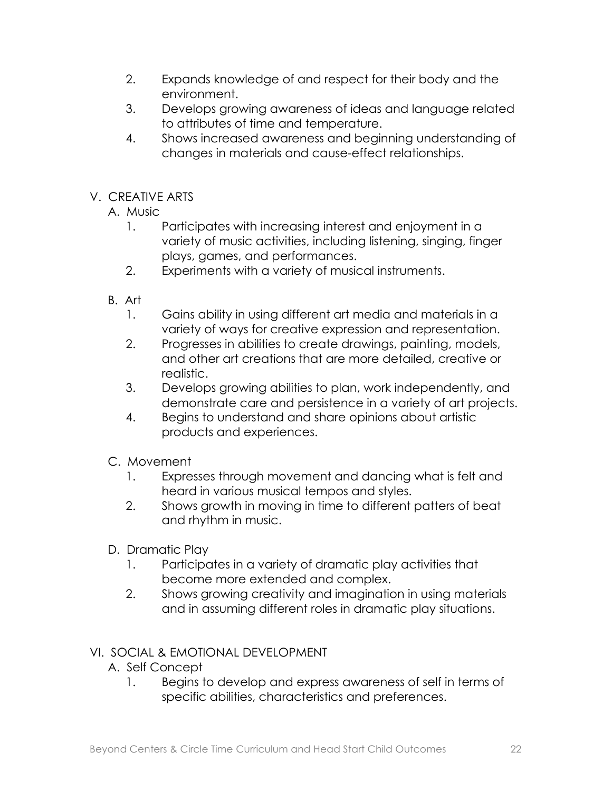- 2. Expands knowledge of and respect for their body and the environment.
- 3. Develops growing awareness of ideas and language related to attributes of time and temperature.
- 4. Shows increased awareness and beginning understanding of changes in materials and cause-effect relationships.
- V. CREATIVE ARTS
	- A. Music
		- 1. Participates with increasing interest and enjoyment in a variety of music activities, including listening, singing, finger plays, games, and performances.
		- 2. Experiments with a variety of musical instruments.
	- B. Art
		- 1. Gains ability in using different art media and materials in a variety of ways for creative expression and representation.
		- 2. Progresses in abilities to create drawings, painting, models, and other art creations that are more detailed, creative or realistic.
		- 3. Develops growing abilities to plan, work independently, and demonstrate care and persistence in a variety of art projects.
		- 4. Begins to understand and share opinions about artistic products and experiences.
	- C. Movement
		- 1. Expresses through movement and dancing what is felt and heard in various musical tempos and styles.
		- 2. Shows growth in moving in time to different patters of beat and rhythm in music.
	- D. Dramatic Play
		- 1. Participates in a variety of dramatic play activities that become more extended and complex.
		- 2. Shows growing creativity and imagination in using materials and in assuming different roles in dramatic play situations.

- A. Self Concept
	- 1. Begins to develop and express awareness of self in terms of specific abilities, characteristics and preferences.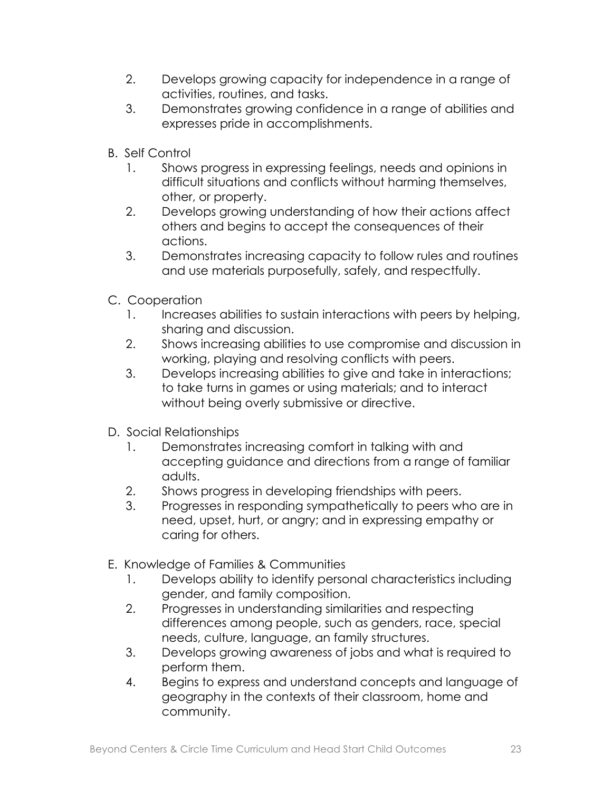- 2. Develops growing capacity for independence in a range of activities, routines, and tasks.
- 3. Demonstrates growing confidence in a range of abilities and expresses pride in accomplishments.
- B. Self Control
	- 1. Shows progress in expressing feelings, needs and opinions in difficult situations and conflicts without harming themselves, other, or property.
	- 2. Develops growing understanding of how their actions affect others and begins to accept the consequences of their actions.
	- 3. Demonstrates increasing capacity to follow rules and routines and use materials purposefully, safely, and respectfully.
- C. Cooperation
	- 1. Increases abilities to sustain interactions with peers by helping, sharing and discussion.
	- 2. Shows increasing abilities to use compromise and discussion in working, playing and resolving conflicts with peers.
	- 3. Develops increasing abilities to give and take in interactions; to take turns in games or using materials; and to interact without being overly submissive or directive.
- D. Social Relationships
	- 1. Demonstrates increasing comfort in talking with and accepting guidance and directions from a range of familiar adults.
	- 2. Shows progress in developing friendships with peers.
	- 3. Progresses in responding sympathetically to peers who are in need, upset, hurt, or angry; and in expressing empathy or caring for others.
- E. Knowledge of Families & Communities
	- 1. Develops ability to identify personal characteristics including gender, and family composition.
	- 2. Progresses in understanding similarities and respecting differences among people, such as genders, race, special needs, culture, language, an family structures.
	- 3. Develops growing awareness of jobs and what is required to perform them.
	- 4. Begins to express and understand concepts and language of geography in the contexts of their classroom, home and community.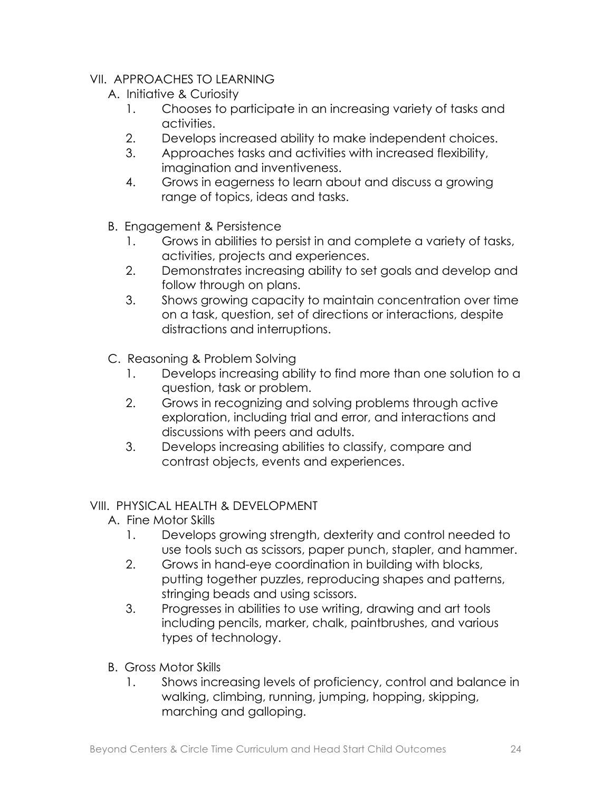### VII. APPROACHES TO LEARNING

- A. Initiative & Curiosity
	- 1. Chooses to participate in an increasing variety of tasks and activities.
	- 2. Develops increased ability to make independent choices.
	- 3. Approaches tasks and activities with increased flexibility, imagination and inventiveness.
	- 4. Grows in eagerness to learn about and discuss a growing range of topics, ideas and tasks.
- B. Engagement & Persistence
	- 1. Grows in abilities to persist in and complete a variety of tasks, activities, projects and experiences.
	- 2. Demonstrates increasing ability to set goals and develop and follow through on plans.
	- 3. Shows growing capacity to maintain concentration over time on a task, question, set of directions or interactions, despite distractions and interruptions.
- C. Reasoning & Problem Solving
	- 1. Develops increasing ability to find more than one solution to a question, task or problem.
	- 2. Grows in recognizing and solving problems through active exploration, including trial and error, and interactions and discussions with peers and adults.
	- 3. Develops increasing abilities to classify, compare and contrast objects, events and experiences.

### VIII. PHYSICAL HEALTH & DEVELOPMENT

- A. Fine Motor Skills
	- 1. Develops growing strength, dexterity and control needed to use tools such as scissors, paper punch, stapler, and hammer.
	- 2. Grows in hand-eye coordination in building with blocks, putting together puzzles, reproducing shapes and patterns, stringing beads and using scissors.
	- 3. Progresses in abilities to use writing, drawing and art tools including pencils, marker, chalk, paintbrushes, and various types of technology.
- B. Gross Motor Skills
	- 1. Shows increasing levels of proficiency, control and balance in walking, climbing, running, jumping, hopping, skipping, marching and galloping.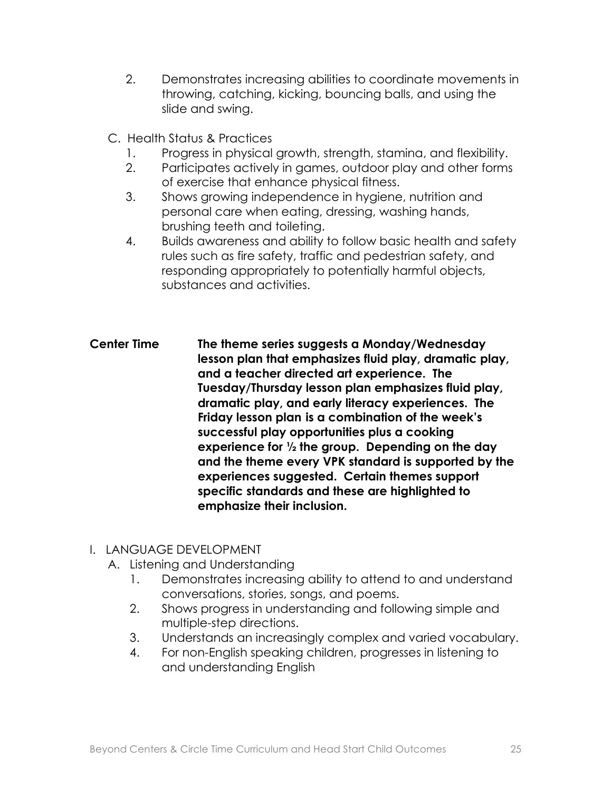- 2. Demonstrates increasing abilities to coordinate movements in throwing, catching, kicking, bouncing balls, and using the slide and swing.
- C. Health Status & Practices
	- 1. Progress in physical growth, strength, stamina, and flexibility.
	- 2. Participates actively in games, outdoor play and other forms of exercise that enhance physical fitness.
	- 3. Shows growing independence in hygiene, nutrition and personal care when eating, dressing, washing hands, brushing teeth and toileting.
	- 4. Builds awareness and ability to follow basic health and safety rules such as fire safety, traffic and pedestrian safety, and responding appropriately to potentially harmful objects, substances and activities.
- **Center Time The theme series suggests a Monday/Wednesday lesson plan that emphasizes fluid play, dramatic play, and a teacher directed art experience. The Tuesday/Thursday lesson plan emphasizes fluid play, dramatic play, and early literacy experiences. The Friday lesson plan is a combination of the week's successful play opportunities plus a cooking experience for ½ the group. Depending on the day and the theme every VPK standard is supported by the experiences suggested. Certain themes support specific standards and these are highlighted to emphasize their inclusion.**

### I. LANGUAGE DEVELOPMENT

- A. Listening and Understanding
	- 1. Demonstrates increasing ability to attend to and understand conversations, stories, songs, and poems.
	- 2. Shows progress in understanding and following simple and multiple-step directions.
	- 3. Understands an increasingly complex and varied vocabulary.
	- 4. For non-English speaking children, progresses in listening to and understanding English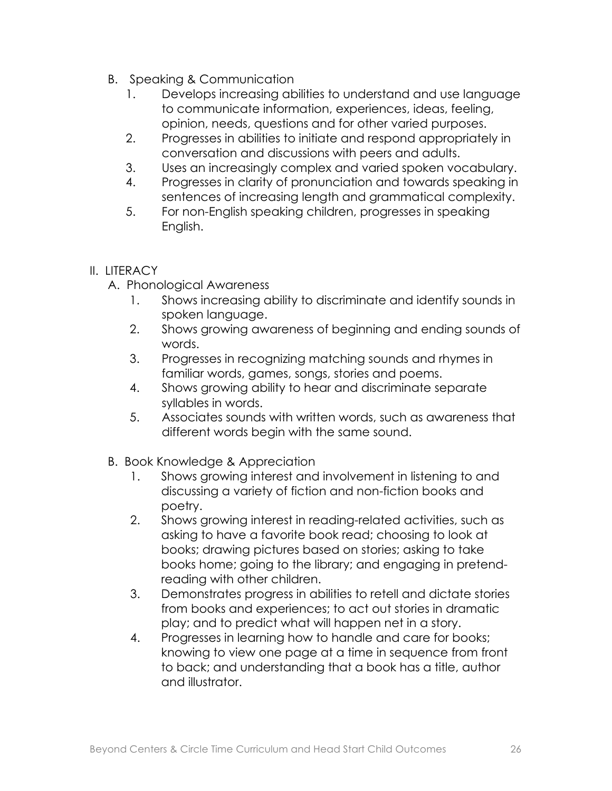- B. Speaking & Communication
	- 1. Develops increasing abilities to understand and use language to communicate information, experiences, ideas, feeling, opinion, needs, questions and for other varied purposes.
	- 2. Progresses in abilities to initiate and respond appropriately in conversation and discussions with peers and adults.
	- 3. Uses an increasingly complex and varied spoken vocabulary.
	- 4. Progresses in clarity of pronunciation and towards speaking in sentences of increasing length and grammatical complexity.
	- 5. For non-English speaking children, progresses in speaking English.

- A. Phonological Awareness
	- 1. Shows increasing ability to discriminate and identify sounds in spoken language.
	- 2. Shows growing awareness of beginning and ending sounds of words.
	- 3. Progresses in recognizing matching sounds and rhymes in familiar words, games, songs, stories and poems.
	- 4. Shows growing ability to hear and discriminate separate syllables in words.
	- 5. Associates sounds with written words, such as awareness that different words begin with the same sound.
- B. Book Knowledge & Appreciation
	- 1. Shows growing interest and involvement in listening to and discussing a variety of fiction and non-fiction books and poetry.
	- 2. Shows growing interest in reading-related activities, such as asking to have a favorite book read; choosing to look at books; drawing pictures based on stories; asking to take books home; going to the library; and engaging in pretendreading with other children.
	- 3. Demonstrates progress in abilities to retell and dictate stories from books and experiences; to act out stories in dramatic play; and to predict what will happen net in a story.
	- 4. Progresses in learning how to handle and care for books; knowing to view one page at a time in sequence from front to back; and understanding that a book has a title, author and illustrator.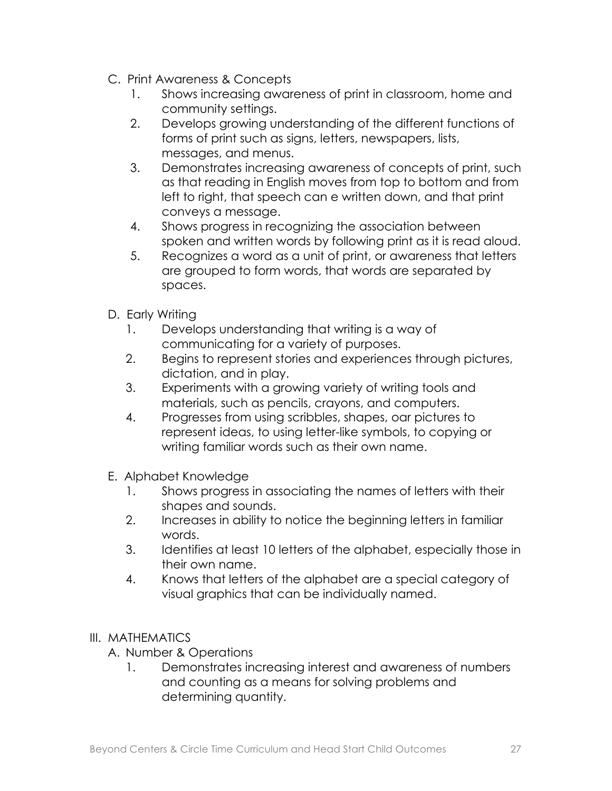- C. Print Awareness & Concepts
	- 1. Shows increasing awareness of print in classroom, home and community settings.
	- 2. Develops growing understanding of the different functions of forms of print such as signs, letters, newspapers, lists, messages, and menus.
	- 3. Demonstrates increasing awareness of concepts of print, such as that reading in English moves from top to bottom and from left to right, that speech can e written down, and that print conveys a message.
	- 4. Shows progress in recognizing the association between spoken and written words by following print as it is read aloud.
	- 5. Recognizes a word as a unit of print, or awareness that letters are grouped to form words, that words are separated by spaces.
- D. Early Writing
	- 1. Develops understanding that writing is a way of communicating for a variety of purposes.
	- 2. Begins to represent stories and experiences through pictures, dictation, and in play.
	- 3. Experiments with a growing variety of writing tools and materials, such as pencils, crayons, and computers.
	- 4. Progresses from using scribbles, shapes, oar pictures to represent ideas, to using letter-like symbols, to copying or writing familiar words such as their own name.
- E. Alphabet Knowledge
	- 1. Shows progress in associating the names of letters with their shapes and sounds.
	- 2. Increases in ability to notice the beginning letters in familiar words.
	- 3. Identifies at least 10 letters of the alphabet, especially those in their own name.
	- 4. Knows that letters of the alphabet are a special category of visual graphics that can be individually named.

### III. MATHEMATICS

- A. Number & Operations
	- 1. Demonstrates increasing interest and awareness of numbers and counting as a means for solving problems and determining quantity.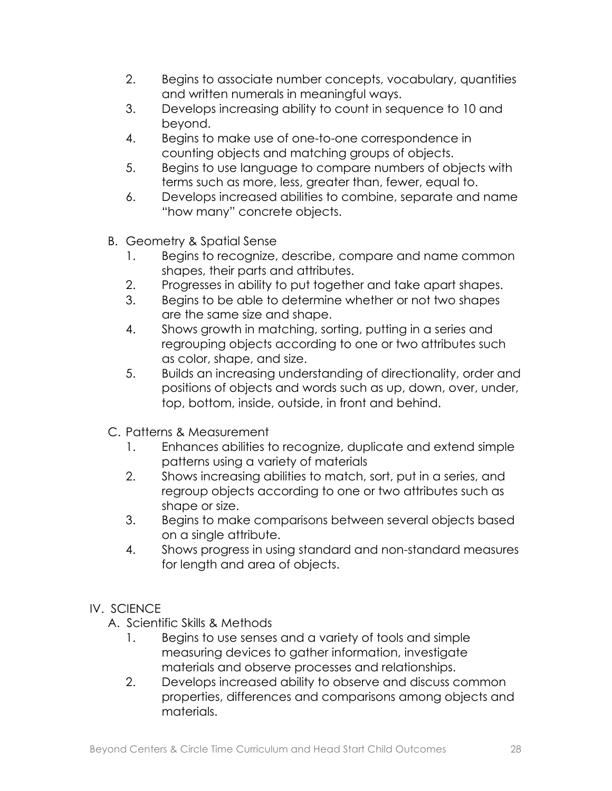- 2. Begins to associate number concepts, vocabulary, quantities and written numerals in meaningful ways.
- 3. Develops increasing ability to count in sequence to 10 and beyond.
- 4. Begins to make use of one-to-one correspondence in counting objects and matching groups of objects.
- 5. Begins to use language to compare numbers of objects with terms such as more, less, greater than, fewer, equal to.
- 6. Develops increased abilities to combine, separate and name "how many" concrete objects.
- B. Geometry & Spatial Sense
	- 1. Begins to recognize, describe, compare and name common shapes, their parts and attributes.
	- 2. Progresses in ability to put together and take apart shapes.
	- 3. Begins to be able to determine whether or not two shapes are the same size and shape.
	- 4. Shows growth in matching, sorting, putting in a series and regrouping objects according to one or two attributes such as color, shape, and size.
	- 5. Builds an increasing understanding of directionality, order and positions of objects and words such as up, down, over, under, top, bottom, inside, outside, in front and behind.
- C. Patterns & Measurement
	- 1. Enhances abilities to recognize, duplicate and extend simple patterns using a variety of materials
	- 2. Shows increasing abilities to match, sort, put in a series, and regroup objects according to one or two attributes such as shape or size.
	- 3. Begins to make comparisons between several objects based on a single attribute.
	- 4. Shows progress in using standard and non-standard measures for length and area of objects.
- IV. SCIENCE
	- A. Scientific Skills & Methods
		- 1. Begins to use senses and a variety of tools and simple measuring devices to gather information, investigate materials and observe processes and relationships.
		- 2. Develops increased ability to observe and discuss common properties, differences and comparisons among objects and materials.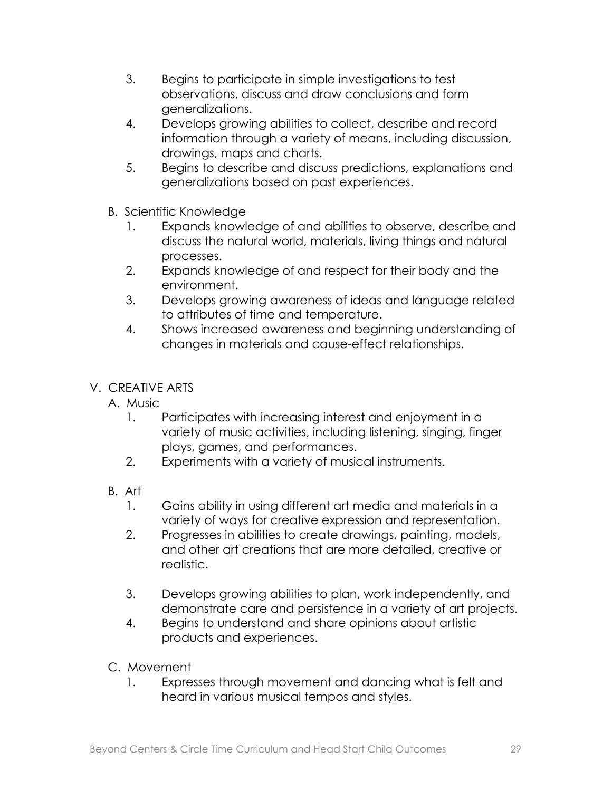- 3. Begins to participate in simple investigations to test observations, discuss and draw conclusions and form generalizations.
- 4. Develops growing abilities to collect, describe and record information through a variety of means, including discussion, drawings, maps and charts.
- 5. Begins to describe and discuss predictions, explanations and generalizations based on past experiences.
- B. Scientific Knowledge
	- 1. Expands knowledge of and abilities to observe, describe and discuss the natural world, materials, living things and natural processes.
	- 2. Expands knowledge of and respect for their body and the environment.
	- 3. Develops growing awareness of ideas and language related to attributes of time and temperature.
	- 4. Shows increased awareness and beginning understanding of changes in materials and cause-effect relationships.
- V. CREATIVE ARTS
	- A. Music
		- 1. Participates with increasing interest and enjoyment in a variety of music activities, including listening, singing, finger plays, games, and performances.
		- 2. Experiments with a variety of musical instruments.
	- B. Art
		- 1. Gains ability in using different art media and materials in a variety of ways for creative expression and representation.
		- 2. Progresses in abilities to create drawings, painting, models, and other art creations that are more detailed, creative or realistic.
		- 3. Develops growing abilities to plan, work independently, and demonstrate care and persistence in a variety of art projects.
		- 4. Begins to understand and share opinions about artistic products and experiences.
	- C. Movement
		- 1. Expresses through movement and dancing what is felt and heard in various musical tempos and styles.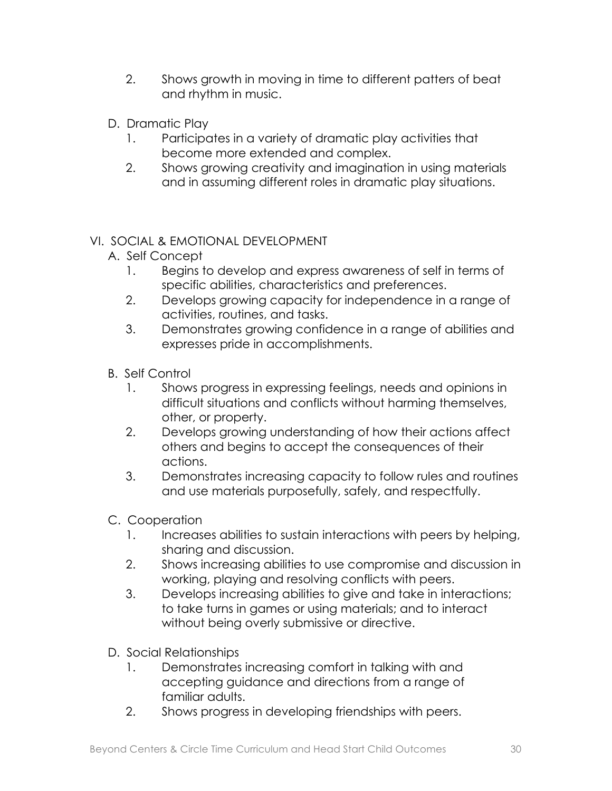- 2. Shows growth in moving in time to different patters of beat and rhythm in music.
- D. Dramatic Play
	- 1. Participates in a variety of dramatic play activities that become more extended and complex.
	- 2. Shows growing creativity and imagination in using materials and in assuming different roles in dramatic play situations.

- A. Self Concept
	- 1. Begins to develop and express awareness of self in terms of specific abilities, characteristics and preferences.
	- 2. Develops growing capacity for independence in a range of activities, routines, and tasks.
	- 3. Demonstrates growing confidence in a range of abilities and expresses pride in accomplishments.
- B. Self Control
	- 1. Shows progress in expressing feelings, needs and opinions in difficult situations and conflicts without harming themselves, other, or property.
	- 2. Develops growing understanding of how their actions affect others and begins to accept the consequences of their actions.
	- 3. Demonstrates increasing capacity to follow rules and routines and use materials purposefully, safely, and respectfully.
- C. Cooperation
	- 1. Increases abilities to sustain interactions with peers by helping, sharing and discussion.
	- 2. Shows increasing abilities to use compromise and discussion in working, playing and resolving conflicts with peers.
	- 3. Develops increasing abilities to give and take in interactions; to take turns in games or using materials; and to interact without being overly submissive or directive.
- D. Social Relationships
	- 1. Demonstrates increasing comfort in talking with and accepting guidance and directions from a range of familiar adults.
	- 2. Shows progress in developing friendships with peers.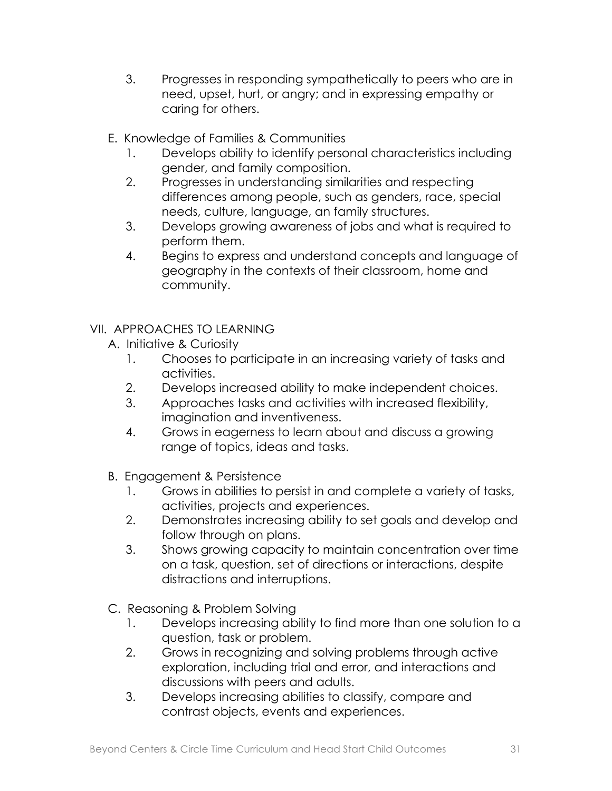- 3. Progresses in responding sympathetically to peers who are in need, upset, hurt, or angry; and in expressing empathy or caring for others.
- E. Knowledge of Families & Communities
	- 1. Develops ability to identify personal characteristics including gender, and family composition.
	- 2. Progresses in understanding similarities and respecting differences among people, such as genders, race, special needs, culture, language, an family structures.
	- 3. Develops growing awareness of jobs and what is required to perform them.
	- 4. Begins to express and understand concepts and language of geography in the contexts of their classroom, home and community.
- VII. APPROACHES TO LEARNING
	- A. Initiative & Curiosity
		- 1. Chooses to participate in an increasing variety of tasks and activities.
		- 2. Develops increased ability to make independent choices.
		- 3. Approaches tasks and activities with increased flexibility, imagination and inventiveness.
		- 4. Grows in eagerness to learn about and discuss a growing range of topics, ideas and tasks.
	- B. Engagement & Persistence
		- 1. Grows in abilities to persist in and complete a variety of tasks, activities, projects and experiences.
		- 2. Demonstrates increasing ability to set goals and develop and follow through on plans.
		- 3. Shows growing capacity to maintain concentration over time on a task, question, set of directions or interactions, despite distractions and interruptions.
	- C. Reasoning & Problem Solving
		- 1. Develops increasing ability to find more than one solution to a question, task or problem.
		- 2. Grows in recognizing and solving problems through active exploration, including trial and error, and interactions and discussions with peers and adults.
		- 3. Develops increasing abilities to classify, compare and contrast objects, events and experiences.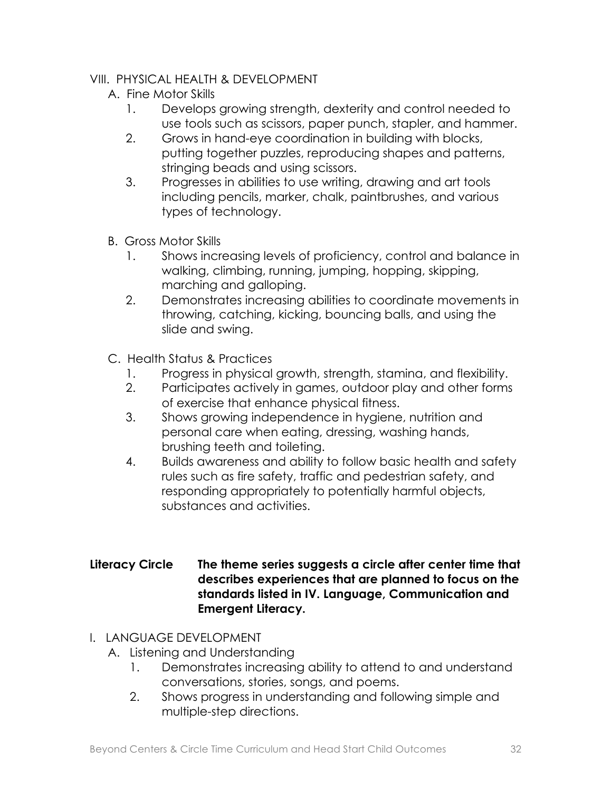### VIII. PHYSICAL HEALTH & DEVELOPMENT

- A. Fine Motor Skills
	- 1. Develops growing strength, dexterity and control needed to use tools such as scissors, paper punch, stapler, and hammer.
	- 2. Grows in hand-eye coordination in building with blocks, putting together puzzles, reproducing shapes and patterns, stringing beads and using scissors.
	- 3. Progresses in abilities to use writing, drawing and art tools including pencils, marker, chalk, paintbrushes, and various types of technology.
- B. Gross Motor Skills
	- 1. Shows increasing levels of proficiency, control and balance in walking, climbing, running, jumping, hopping, skipping, marching and galloping.
	- 2. Demonstrates increasing abilities to coordinate movements in throwing, catching, kicking, bouncing balls, and using the slide and swing.
- C. Health Status & Practices
	- 1. Progress in physical growth, strength, stamina, and flexibility.
	- 2. Participates actively in games, outdoor play and other forms of exercise that enhance physical fitness.
	- 3. Shows growing independence in hygiene, nutrition and personal care when eating, dressing, washing hands, brushing teeth and toileting.
	- 4. Builds awareness and ability to follow basic health and safety rules such as fire safety, traffic and pedestrian safety, and responding appropriately to potentially harmful objects, substances and activities.

#### **Literacy Circle The theme series suggests a circle after center time that describes experiences that are planned to focus on the standards listed in IV. Language, Communication and Emergent Literacy.**

- I. LANGUAGE DEVELOPMENT
	- A. Listening and Understanding
		- 1. Demonstrates increasing ability to attend to and understand conversations, stories, songs, and poems.
		- 2. Shows progress in understanding and following simple and multiple-step directions.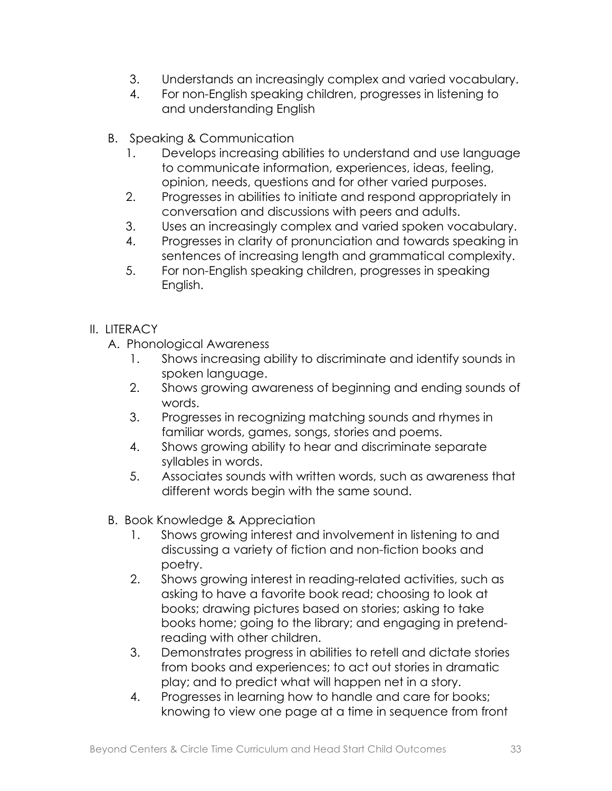- 3. Understands an increasingly complex and varied vocabulary.
- 4. For non-English speaking children, progresses in listening to and understanding English
- B. Speaking & Communication
	- 1. Develops increasing abilities to understand and use language to communicate information, experiences, ideas, feeling, opinion, needs, questions and for other varied purposes.
	- 2. Progresses in abilities to initiate and respond appropriately in conversation and discussions with peers and adults.
	- 3. Uses an increasingly complex and varied spoken vocabulary.
	- 4. Progresses in clarity of pronunciation and towards speaking in sentences of increasing length and grammatical complexity.
	- 5. For non-English speaking children, progresses in speaking English.

- A. Phonological Awareness
	- 1. Shows increasing ability to discriminate and identify sounds in spoken language.
	- 2. Shows growing awareness of beginning and ending sounds of words.
	- 3. Progresses in recognizing matching sounds and rhymes in familiar words, games, songs, stories and poems.
	- 4. Shows growing ability to hear and discriminate separate syllables in words.
	- 5. Associates sounds with written words, such as awareness that different words begin with the same sound.
- B. Book Knowledge & Appreciation
	- 1. Shows growing interest and involvement in listening to and discussing a variety of fiction and non-fiction books and poetry.
	- 2. Shows growing interest in reading-related activities, such as asking to have a favorite book read; choosing to look at books; drawing pictures based on stories; asking to take books home; going to the library; and engaging in pretendreading with other children.
	- 3. Demonstrates progress in abilities to retell and dictate stories from books and experiences; to act out stories in dramatic play; and to predict what will happen net in a story.
	- 4. Progresses in learning how to handle and care for books; knowing to view one page at a time in sequence from front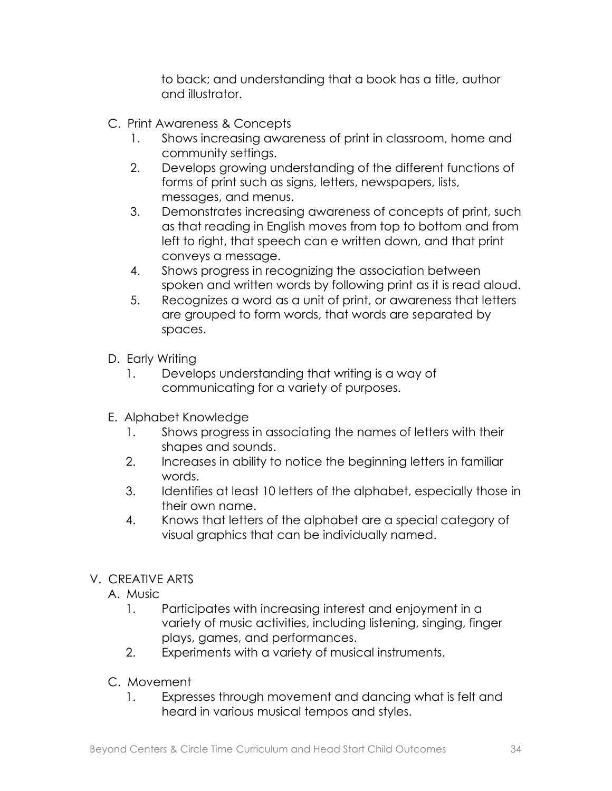to back; and understanding that a book has a title, author and illustrator.

- C. Print Awareness & Concepts
	- 1. Shows increasing awareness of print in classroom, home and community settings.
	- 2. Develops growing understanding of the different functions of forms of print such as signs, letters, newspapers, lists, messages, and menus.
	- 3. Demonstrates increasing awareness of concepts of print, such as that reading in English moves from top to bottom and from left to right, that speech can e written down, and that print conveys a message.
	- 4. Shows progress in recognizing the association between spoken and written words by following print as it is read aloud.
	- 5. Recognizes a word as a unit of print, or awareness that letters are grouped to form words, that words are separated by spaces.
- D. Early Writing
	- 1. Develops understanding that writing is a way of communicating for a variety of purposes.
- E. Alphabet Knowledge
	- 1. Shows progress in associating the names of letters with their shapes and sounds.
	- 2. Increases in ability to notice the beginning letters in familiar words.
	- 3. Identifies at least 10 letters of the alphabet, especially those in their own name.
	- 4. Knows that letters of the alphabet are a special category of visual graphics that can be individually named.

### V. CREATIVE ARTS

- A. Music
	- 1. Participates with increasing interest and enjoyment in a variety of music activities, including listening, singing, finger plays, games, and performances.
	- 2. Experiments with a variety of musical instruments.
- C. Movement
	- 1. Expresses through movement and dancing what is felt and heard in various musical tempos and styles.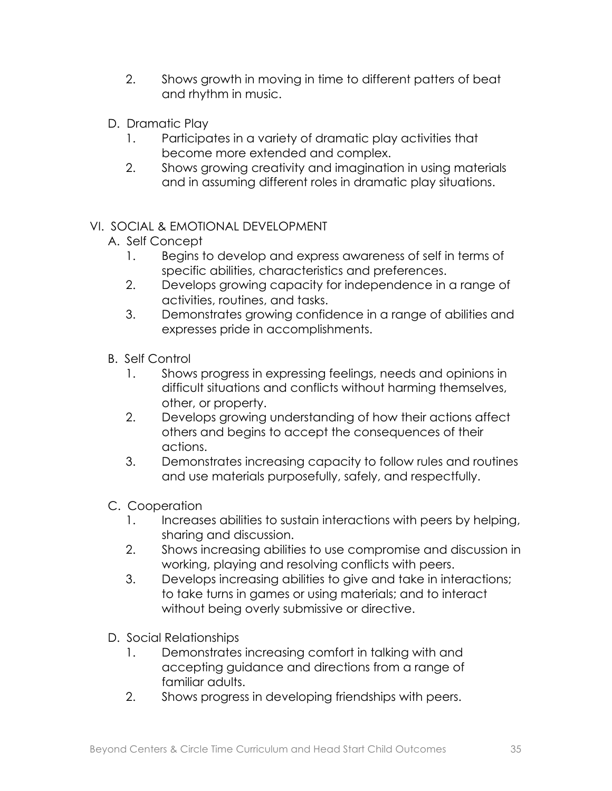- 2. Shows growth in moving in time to different patters of beat and rhythm in music.
- D. Dramatic Play
	- 1. Participates in a variety of dramatic play activities that become more extended and complex.
	- 2. Shows growing creativity and imagination in using materials and in assuming different roles in dramatic play situations.

- A. Self Concept
	- 1. Begins to develop and express awareness of self in terms of specific abilities, characteristics and preferences.
	- 2. Develops growing capacity for independence in a range of activities, routines, and tasks.
	- 3. Demonstrates growing confidence in a range of abilities and expresses pride in accomplishments.
- B. Self Control
	- 1. Shows progress in expressing feelings, needs and opinions in difficult situations and conflicts without harming themselves, other, or property.
	- 2. Develops growing understanding of how their actions affect others and begins to accept the consequences of their actions.
	- 3. Demonstrates increasing capacity to follow rules and routines and use materials purposefully, safely, and respectfully.
- C. Cooperation
	- 1. Increases abilities to sustain interactions with peers by helping, sharing and discussion.
	- 2. Shows increasing abilities to use compromise and discussion in working, playing and resolving conflicts with peers.
	- 3. Develops increasing abilities to give and take in interactions; to take turns in games or using materials; and to interact without being overly submissive or directive.
- D. Social Relationships
	- 1. Demonstrates increasing comfort in talking with and accepting guidance and directions from a range of familiar adults.
	- 2. Shows progress in developing friendships with peers.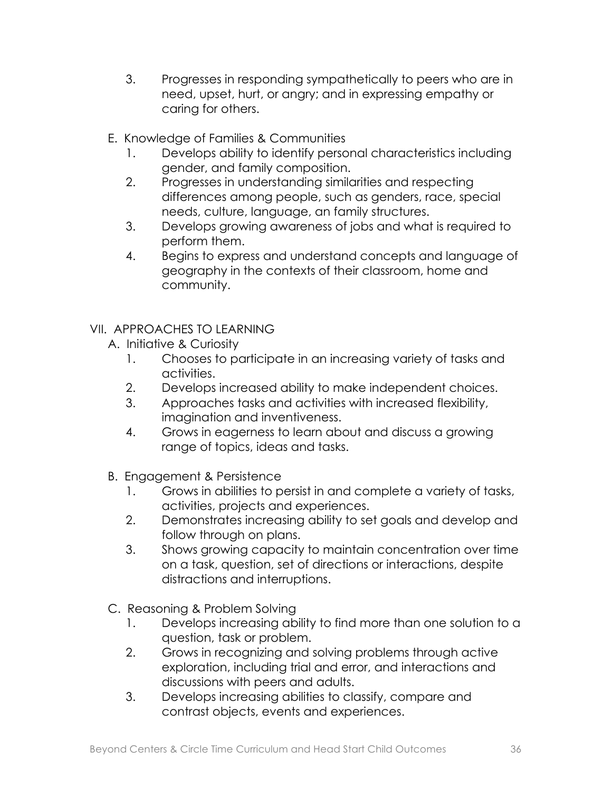- 3. Progresses in responding sympathetically to peers who are in need, upset, hurt, or angry; and in expressing empathy or caring for others.
- E. Knowledge of Families & Communities
	- 1. Develops ability to identify personal characteristics including gender, and family composition.
	- 2. Progresses in understanding similarities and respecting differences among people, such as genders, race, special needs, culture, language, an family structures.
	- 3. Develops growing awareness of jobs and what is required to perform them.
	- 4. Begins to express and understand concepts and language of geography in the contexts of their classroom, home and community.
- VII. APPROACHES TO LEARNING
	- A. Initiative & Curiosity
		- 1. Chooses to participate in an increasing variety of tasks and activities.
		- 2. Develops increased ability to make independent choices.
		- 3. Approaches tasks and activities with increased flexibility, imagination and inventiveness.
		- 4. Grows in eagerness to learn about and discuss a growing range of topics, ideas and tasks.
	- B. Engagement & Persistence
		- 1. Grows in abilities to persist in and complete a variety of tasks, activities, projects and experiences.
		- 2. Demonstrates increasing ability to set goals and develop and follow through on plans.
		- 3. Shows growing capacity to maintain concentration over time on a task, question, set of directions or interactions, despite distractions and interruptions.
	- C. Reasoning & Problem Solving
		- 1. Develops increasing ability to find more than one solution to a question, task or problem.
		- 2. Grows in recognizing and solving problems through active exploration, including trial and error, and interactions and discussions with peers and adults.
		- 3. Develops increasing abilities to classify, compare and contrast objects, events and experiences.